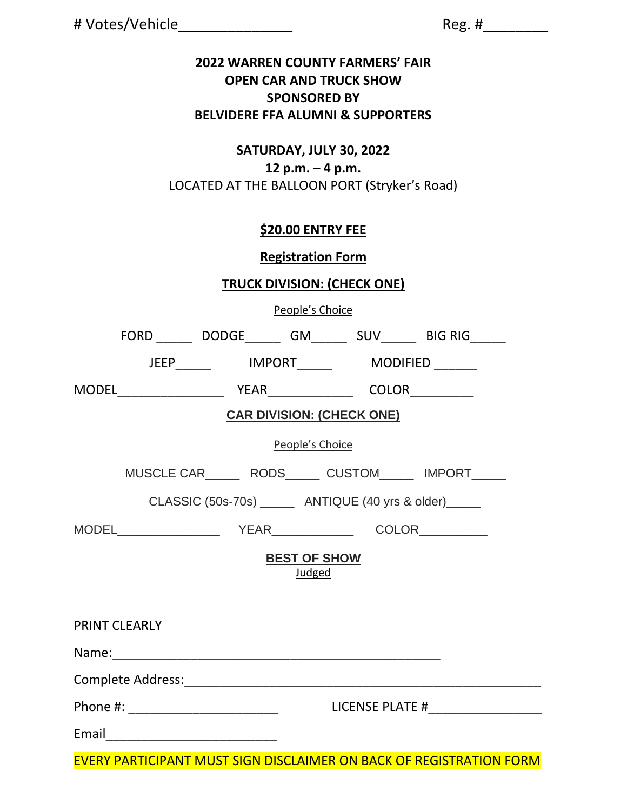|  |  | # Votes/Vehicle |  |  |  |
|--|--|-----------------|--|--|--|
|  |  |                 |  |  |  |

# Votes/Vehicle\_\_\_\_\_\_\_\_\_\_\_\_\_\_ Reg. #\_\_\_\_\_\_\_\_

#### **2022 WARREN COUNTY FARMERS' FAIR OPEN CAR AND TRUCK SHOW SPONSORED BY BELVIDERE FFA ALUMNI & SUPPORTERS**

#### **SATURDAY, JULY 30, 2022 12 p.m. – 4 p.m.** LOCATED AT THE BALLOON PORT (Stryker's Road)

# **\$20.00 ENTRY FEE**

## **Registration Form**

## **TRUCK DIVISION: (CHECK ONE)**

People's Choice

|                                                            |                                     |  |                                                |  | FORD _________ DODGE_________ GM_________ SUV________ BIG RIG______ |  |  |  |  |  |
|------------------------------------------------------------|-------------------------------------|--|------------------------------------------------|--|---------------------------------------------------------------------|--|--|--|--|--|
|                                                            |                                     |  | JEEP_______   IMPORT_______   MODIFIED _______ |  |                                                                     |  |  |  |  |  |
|                                                            |                                     |  |                                                |  |                                                                     |  |  |  |  |  |
| <b>CAR DIVISION: (CHECK ONE)</b>                           |                                     |  |                                                |  |                                                                     |  |  |  |  |  |
| People's Choice                                            |                                     |  |                                                |  |                                                                     |  |  |  |  |  |
|                                                            |                                     |  |                                                |  | MUSCLE CAR________ RODS_______ CUSTOM_______ IMPORT______           |  |  |  |  |  |
| CLASSIC (50s-70s) ________ ANTIQUE (40 yrs & older) ______ |                                     |  |                                                |  |                                                                     |  |  |  |  |  |
|                                                            |                                     |  |                                                |  |                                                                     |  |  |  |  |  |
| <b>BEST OF SHOW</b><br>Judged                              |                                     |  |                                                |  |                                                                     |  |  |  |  |  |
|                                                            | <b>PRINT CLEARLY</b>                |  |                                                |  |                                                                     |  |  |  |  |  |
|                                                            |                                     |  |                                                |  |                                                                     |  |  |  |  |  |
|                                                            |                                     |  |                                                |  |                                                                     |  |  |  |  |  |
|                                                            | Phone #: __________________________ |  |                                                |  |                                                                     |  |  |  |  |  |
|                                                            |                                     |  |                                                |  |                                                                     |  |  |  |  |  |

EVERY PARTICIPANT MUST SIGN DISCLAIMER ON BACK OF REGISTRATION FORM